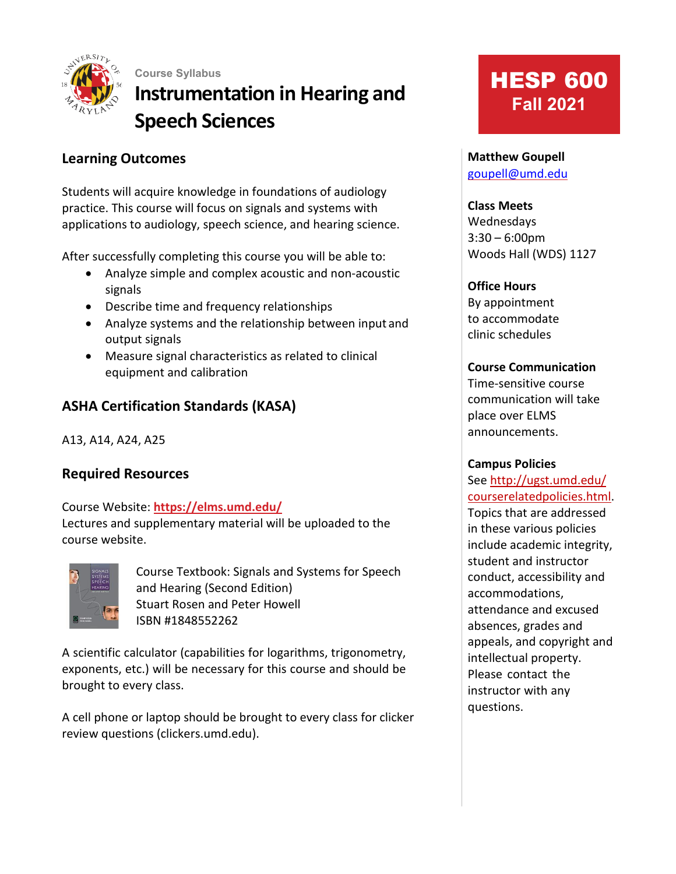

**Course Syllabus Instrumentation in Hearing and Speech Sciences**

# **Learning Outcomes**

Students will acquire knowledge in foundations of audiology practice. This course will focus on signals and systems with applications to audiology, speech science, and hearing science.

After successfully completing this course you will be able to:

- Analyze simple and complex acoustic and non-acoustic signals
- Describe time and frequency relationships
- Analyze systems and the relationship between input and output signals
- Measure signal characteristics as related to clinical equipment and calibration

# **ASHA Certification Standards (KASA)**

A13, A14, A24, A25

# **Required Resources**

Course Website: **https://elms.umd.edu/**

Lectures and supplementary material will be uploaded to the course website.



Course Textbook: Signals and Systems for Speech and Hearing (Second Edition) Stuart Rosen and Peter Howell ISBN #1848552262

A scientific calculator (capabilities for logarithms, trigonometry, exponents, etc.) will be necessary for this course and should be brought to every class.

A cell phone or laptop should be brought to every class for clicker review questions (clickers.umd.edu).

# **HESP 600 Fall 2021**

#### **Matthew Goupell** [goupell@umd.edu](mailto:goupell@umd.edu)

#### **Class Meets**

Wednesdays 3:30 – 6:00pm Woods Hall (WDS) 1127

#### **Office Hours**

By appointment to accommodate clinic schedules

#### **Course Communication**

Time-sensitive course communication will take place over ELMS announcements.

#### **Campus Policies**

See<http://ugst.umd.edu/> courserelatedpolicies.html. Topics that are addressed in these various policies include academic integrity, student and instructor conduct, accessibility and accommodations, attendance and excused absences, grades and appeals, and copyright and intellectual property. Please contact the instructor with any questions.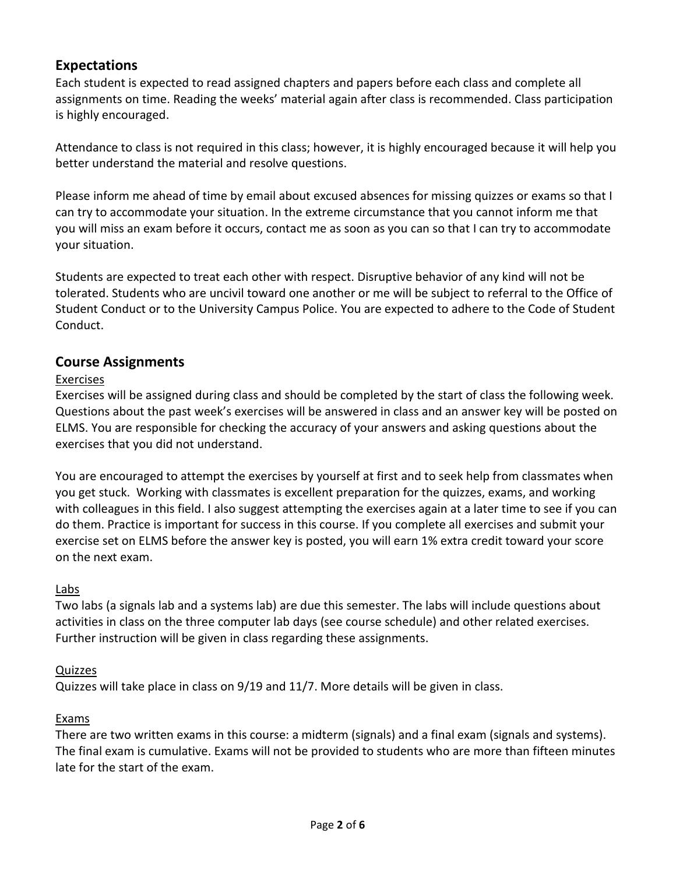### **Expectations**

Each student is expected to read assigned chapters and papers before each class and complete all assignments on time. Reading the weeks' material again after class is recommended. Class participation is highly encouraged.

Attendance to class is not required in this class; however, it is highly encouraged because it will help you better understand the material and resolve questions.

Please inform me ahead of time by email about excused absences for missing quizzes or exams so that I can try to accommodate your situation. In the extreme circumstance that you cannot inform me that you will miss an exam before it occurs, contact me as soon as you can so that I can try to accommodate your situation.

Students are expected to treat each other with respect. Disruptive behavior of any kind will not be tolerated. Students who are uncivil toward one another or me will be subject to referral to the Office of Student Conduct or to the University Campus Police. You are expected to adhere to the Code of Student Conduct.

#### **Course Assignments**

#### Exercises

Exercises will be assigned during class and should be completed by the start of class the following week. Questions about the past week's exercises will be answered in class and an answer key will be posted on ELMS. You are responsible for checking the accuracy of your answers and asking questions about the exercises that you did not understand.

You are encouraged to attempt the exercises by yourself at first and to seek help from classmates when you get stuck. Working with classmates is excellent preparation for the quizzes, exams, and working with colleagues in this field. I also suggest attempting the exercises again at a later time to see if you can do them. Practice is important for success in this course. If you complete all exercises and submit your exercise set on ELMS before the answer key is posted, you will earn 1% extra credit toward your score on the next exam.

#### Labs

Two labs (a signals lab and a systems lab) are due this semester. The labs will include questions about activities in class on the three computer lab days (see course schedule) and other related exercises. Further instruction will be given in class regarding these assignments.

#### Quizzes

Quizzes will take place in class on 9/19 and 11/7. More details will be given in class.

#### Exams

There are two written exams in this course: a midterm (signals) and a final exam (signals and systems). The final exam is cumulative. Exams will not be provided to students who are more than fifteen minutes late for the start of the exam.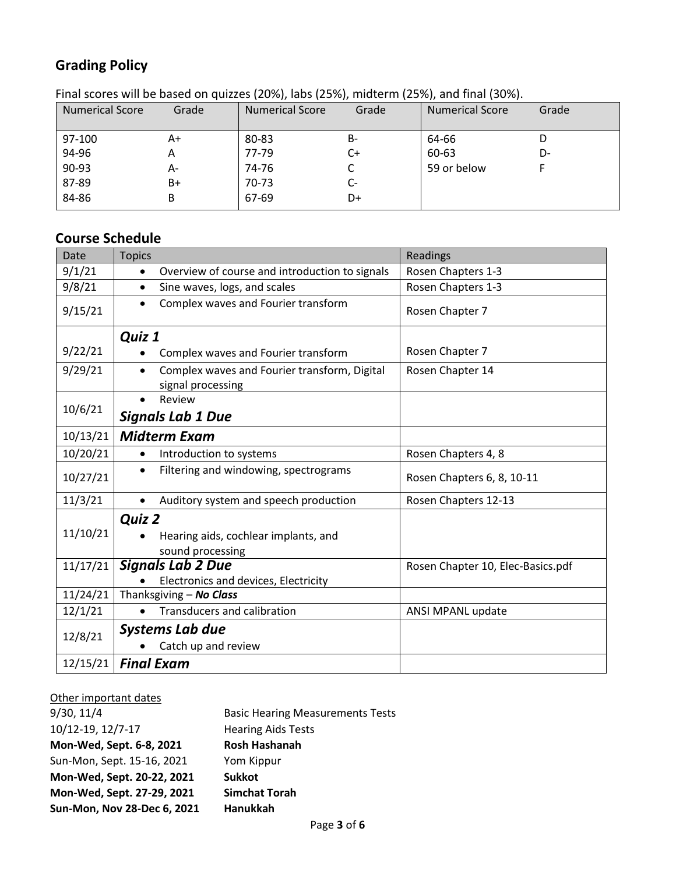# **Grading Policy**

| . a. see, es min we wasea on quiezes (2070)) laws (2070)) imaterni (2070)) and imar (0070). |       |                        |       |                        |       |  |  |  |
|---------------------------------------------------------------------------------------------|-------|------------------------|-------|------------------------|-------|--|--|--|
| <b>Numerical Score</b>                                                                      | Grade | <b>Numerical Score</b> | Grade | <b>Numerical Score</b> | Grade |  |  |  |
|                                                                                             |       |                        |       |                        |       |  |  |  |
|                                                                                             |       |                        |       |                        |       |  |  |  |
| 97-100                                                                                      | A+    | 80-83                  | B-    | 64-66                  |       |  |  |  |
|                                                                                             |       |                        |       |                        |       |  |  |  |
| 94-96                                                                                       | A     | 77-79                  | C+    | 60-63                  | D-    |  |  |  |
| 90-93                                                                                       | А-    | 74-76                  |       | 59 or below            |       |  |  |  |
|                                                                                             |       |                        |       |                        |       |  |  |  |
| 87-89                                                                                       | B+    | 70-73                  | C-    |                        |       |  |  |  |
|                                                                                             |       |                        |       |                        |       |  |  |  |
| 84-86                                                                                       | В     | 67-69                  | D+    |                        |       |  |  |  |
|                                                                                             |       |                        |       |                        |       |  |  |  |

Final scores will be based on quizzes (20%), labs (25%), midterm (25%), and final (30%).

# **Course Schedule**

| Date     | <b>Topics</b>                                                                  | Readings                          |
|----------|--------------------------------------------------------------------------------|-----------------------------------|
| 9/1/21   | Overview of course and introduction to signals<br>$\bullet$                    | Rosen Chapters 1-3                |
| 9/8/21   | Sine waves, logs, and scales<br>$\bullet$                                      | Rosen Chapters 1-3                |
| 9/15/21  | Complex waves and Fourier transform<br>$\bullet$                               | Rosen Chapter 7                   |
|          | Quiz 1                                                                         |                                   |
| 9/22/21  | Complex waves and Fourier transform                                            | Rosen Chapter 7                   |
| 9/29/21  | Complex waves and Fourier transform, Digital<br>$\bullet$<br>signal processing | Rosen Chapter 14                  |
|          | Review                                                                         |                                   |
| 10/6/21  | <b>Signals Lab 1 Due</b>                                                       |                                   |
| 10/13/21 | <b>Midterm Exam</b>                                                            |                                   |
| 10/20/21 | Introduction to systems<br>$\bullet$                                           | Rosen Chapters 4, 8               |
| 10/27/21 | Filtering and windowing, spectrograms<br>$\bullet$                             | Rosen Chapters 6, 8, 10-11        |
| 11/3/21  | Auditory system and speech production<br>$\bullet$                             | Rosen Chapters 12-13              |
| 11/10/21 | <b>Quiz 2</b><br>Hearing aids, cochlear implants, and<br>sound processing      |                                   |
| 11/17/21 | <b>Signals Lab 2 Due</b>                                                       | Rosen Chapter 10, Elec-Basics.pdf |
|          | Electronics and devices, Electricity                                           |                                   |
| 11/24/21 | Thanksgiving - No Class                                                        |                                   |
| 12/1/21  | <b>Transducers and calibration</b>                                             | ANSI MPANL update                 |
| 12/8/21  | <b>Systems Lab due</b><br>Catch up and review                                  |                                   |
| 12/15/21 | <b>Final Exam</b>                                                              |                                   |

| Other important dates       |                                         |
|-----------------------------|-----------------------------------------|
| 9/30, 11/4                  | <b>Basic Hearing Measurements Tests</b> |
| 10/12-19, 12/7-17           | <b>Hearing Aids Tests</b>               |
| Mon-Wed, Sept. 6-8, 2021    | <b>Rosh Hashanah</b>                    |
| Sun-Mon, Sept. 15-16, 2021  | Yom Kippur                              |
| Mon-Wed, Sept. 20-22, 2021  | <b>Sukkot</b>                           |
| Mon-Wed, Sept. 27-29, 2021  | <b>Simchat Torah</b>                    |
| Sun-Mon, Nov 28-Dec 6, 2021 | Hanukkah                                |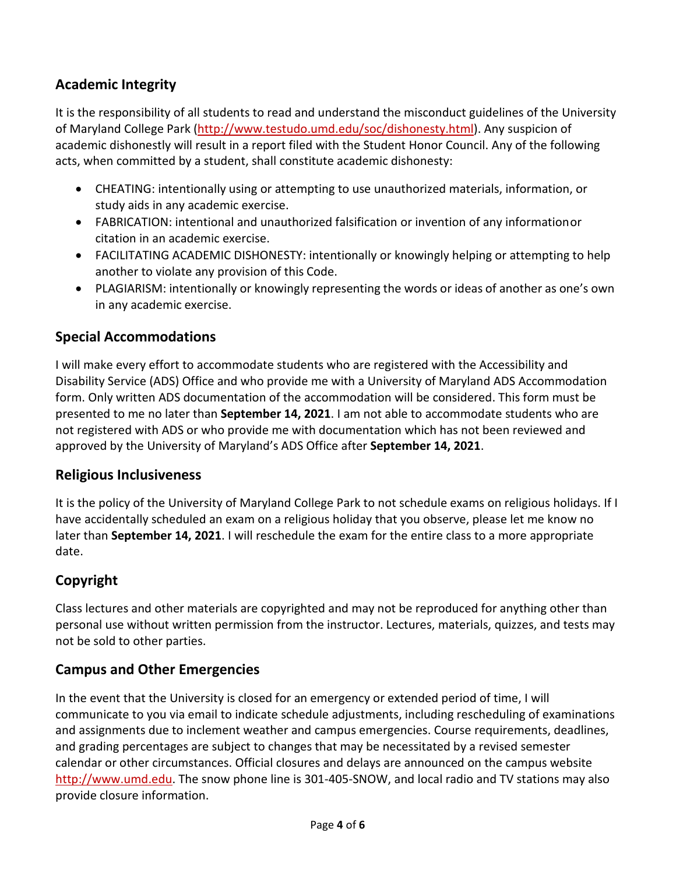# **Academic Integrity**

It is the responsibility of all students to read and understand the misconduct guidelines of the University of Maryland College Park [\(http://www.testudo.umd.edu/soc/dishonesty.html\)](http://www.testudo.umd.edu/soc/dishonesty.html). Any suspicion of academic dishonestly will result in a report filed with the Student Honor Council. Any of the following acts, when committed by a student, shall constitute academic dishonesty:

- CHEATING: intentionally using or attempting to use unauthorized materials, information, or study aids in any academic exercise.
- FABRICATION: intentional and unauthorized falsification or invention of any informationor citation in an academic exercise.
- FACILITATING ACADEMIC DISHONESTY: intentionally or knowingly helping or attempting to help another to violate any provision of this Code.
- PLAGIARISM: intentionally or knowingly representing the words or ideas of another as one's own in any academic exercise.

### **Special Accommodations**

I will make every effort to accommodate students who are registered with the Accessibility and Disability Service (ADS) Office and who provide me with a University of Maryland ADS Accommodation form. Only written ADS documentation of the accommodation will be considered. This form must be presented to me no later than **September 14, 2021**. I am not able to accommodate students who are not registered with ADS or who provide me with documentation which has not been reviewed and approved by the University of Maryland's ADS Office after **September 14, 2021**.

#### **Religious Inclusiveness**

It is the policy of the University of Maryland College Park to not schedule exams on religious holidays. If I have accidentally scheduled an exam on a religious holiday that you observe, please let me know no later than **September 14, 2021**. I will reschedule the exam for the entire class to a more appropriate date.

#### **Copyright**

Class lectures and other materials are copyrighted and may not be reproduced for anything other than personal use without written permission from the instructor. Lectures, materials, quizzes, and tests may not be sold to other parties.

#### **Campus and Other Emergencies**

In the event that the University is closed for an emergency or extended period of time, I will communicate to you via email to indicate schedule adjustments, including rescheduling of examinations and assignments due to inclement weather and campus emergencies. Course requirements, deadlines, and grading percentages are subject to changes that may be necessitated by a revised semester calendar or other circumstances. Official closures and delays are announced on the campus website [http://www.umd.edu.](http://www.umd.edu/) The snow phone line is 301-405-SNOW, and local radio and TV stations may also provide closure information.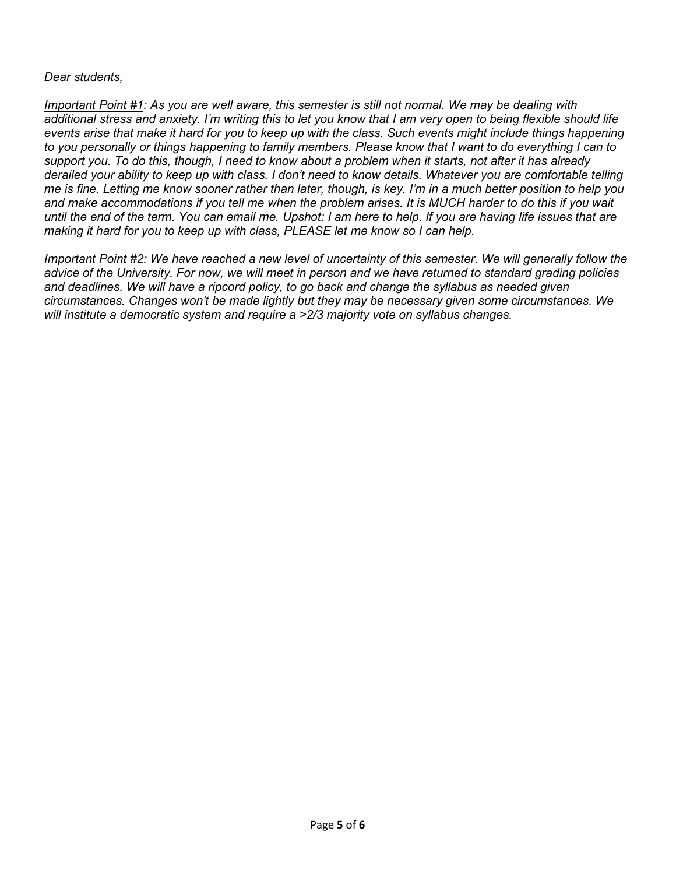#### *Dear students,*

*Important Point #1: As you are well aware, this semester is still not normal. We may be dealing with additional stress and anxiety. I'm writing this to let you know that I am very open to being flexible should life events arise that make it hard for you to keep up with the class. Such events might include things happening to you personally or things happening to family members. Please know that I want to do everything I can to support you. To do this, though, I need to know about a problem when it starts, not after it has already derailed your ability to keep up with class. I don't need to know details. Whatever you are comfortable telling me is fine. Letting me know sooner rather than later, though, is key. I'm in a much better position to help you and make accommodations if you tell me when the problem arises. It is MUCH harder to do this if you wait until the end of the term. You can email me. Upshot: I am here to help. If you are having life issues that are making it hard for you to keep up with class, PLEASE let me know so I can help.*

*Important Point #2: We have reached a new level of uncertainty of this semester. We will generally follow the advice of the University. For now, we will meet in person and we have returned to standard grading policies and deadlines. We will have a ripcord policy, to go back and change the syllabus as needed given circumstances. Changes won't be made lightly but they may be necessary given some circumstances. We will institute a democratic system and require a >2/3 majority vote on syllabus changes.*